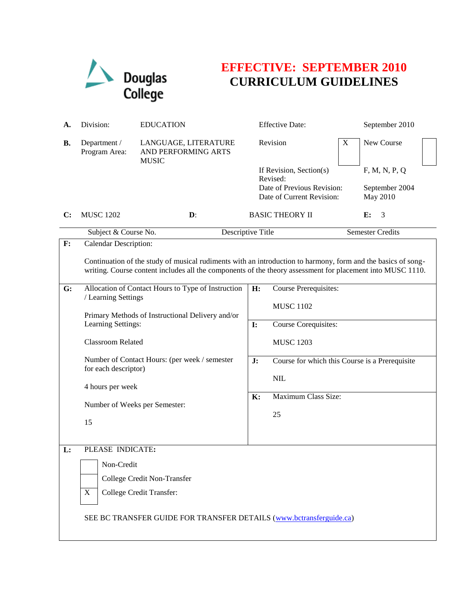

# **EFFECTIVE: SEPTEMBER 2010 CURRICULUM GUIDELINES**

| А. | Division:                                                                                                                                                                                                                  | <b>EDUCATION</b>                                                      |                                                                                                | <b>Effective Date:</b>                               |                                             | September 2010 |  |
|----|----------------------------------------------------------------------------------------------------------------------------------------------------------------------------------------------------------------------------|-----------------------------------------------------------------------|------------------------------------------------------------------------------------------------|------------------------------------------------------|---------------------------------------------|----------------|--|
| В. | Department /<br>Program Area:                                                                                                                                                                                              | LANGUAGE, LITERATURE<br>AND PERFORMING ARTS<br><b>MUSIC</b>           |                                                                                                | Revision                                             | $\mathbf X$                                 | New Course     |  |
|    |                                                                                                                                                                                                                            |                                                                       | If Revision, Section(s)<br>Revised:<br>Date of Previous Revision:<br>Date of Current Revision: |                                                      | F, M, N, P, Q<br>September 2004<br>May 2010 |                |  |
| C: | <b>MUSC 1202</b>                                                                                                                                                                                                           | $\mathbf{D}$ :                                                        |                                                                                                | <b>BASIC THEORY II</b>                               |                                             | 3<br>E:        |  |
|    | Subject & Course No.                                                                                                                                                                                                       |                                                                       | Descriptive Title                                                                              |                                                      | <b>Semester Credits</b>                     |                |  |
| F: | <b>Calendar Description:</b>                                                                                                                                                                                               |                                                                       |                                                                                                |                                                      |                                             |                |  |
|    | Continuation of the study of musical rudiments with an introduction to harmony, form and the basics of song-<br>writing. Course content includes all the components of the theory assessment for placement into MUSC 1110. |                                                                       |                                                                                                |                                                      |                                             |                |  |
| G: | / Learning Settings                                                                                                                                                                                                        | Allocation of Contact Hours to Type of Instruction                    | H:                                                                                             | Course Prerequisites:                                |                                             |                |  |
|    |                                                                                                                                                                                                                            |                                                                       | <b>MUSC 1102</b>                                                                               |                                                      |                                             |                |  |
|    |                                                                                                                                                                                                                            | Primary Methods of Instructional Delivery and/or                      |                                                                                                |                                                      |                                             |                |  |
|    | Learning Settings:                                                                                                                                                                                                         |                                                                       | $\mathbf{I}$ :                                                                                 | Course Corequisites:                                 |                                             |                |  |
|    | Classroom Related                                                                                                                                                                                                          |                                                                       |                                                                                                | <b>MUSC 1203</b>                                     |                                             |                |  |
|    |                                                                                                                                                                                                                            | Number of Contact Hours: (per week / semester<br>for each descriptor) |                                                                                                | Course for which this Course is a Prerequisite<br>J: |                                             |                |  |
|    |                                                                                                                                                                                                                            |                                                                       |                                                                                                | NIL                                                  |                                             |                |  |
|    | 4 hours per week                                                                                                                                                                                                           |                                                                       |                                                                                                |                                                      |                                             |                |  |
|    | Number of Weeks per Semester:                                                                                                                                                                                              |                                                                       | Maximum Class Size:<br>K:                                                                      |                                                      |                                             |                |  |
|    |                                                                                                                                                                                                                            |                                                                       |                                                                                                | 25                                                   |                                             |                |  |
|    | 15                                                                                                                                                                                                                         |                                                                       |                                                                                                |                                                      |                                             |                |  |
| L: | PLEASE INDICATE:                                                                                                                                                                                                           |                                                                       |                                                                                                |                                                      |                                             |                |  |
|    |                                                                                                                                                                                                                            |                                                                       |                                                                                                |                                                      |                                             |                |  |
|    | Non-Credit                                                                                                                                                                                                                 |                                                                       |                                                                                                |                                                      |                                             |                |  |
|    |                                                                                                                                                                                                                            | College Credit Non-Transfer                                           |                                                                                                |                                                      |                                             |                |  |
|    | X                                                                                                                                                                                                                          | College Credit Transfer:                                              |                                                                                                |                                                      |                                             |                |  |
|    |                                                                                                                                                                                                                            |                                                                       |                                                                                                |                                                      |                                             |                |  |
|    | SEE BC TRANSFER GUIDE FOR TRANSFER DETAILS (www.bctransferguide.ca)                                                                                                                                                        |                                                                       |                                                                                                |                                                      |                                             |                |  |
|    |                                                                                                                                                                                                                            |                                                                       |                                                                                                |                                                      |                                             |                |  |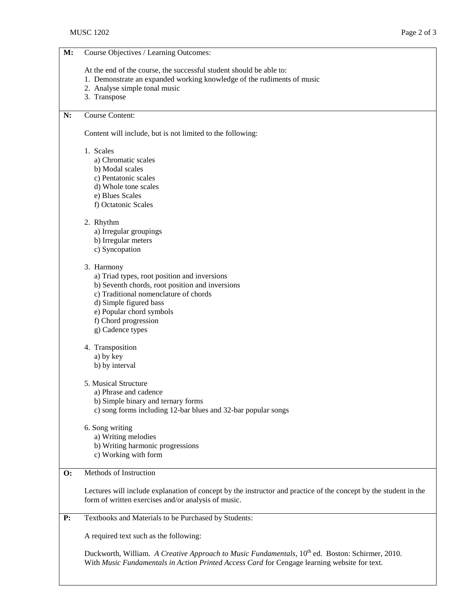#### **M:** Course Objectives / Learning Outcomes:

At the end of the course, the successful student should be able to:

- 1. Demonstrate an expanded working knowledge of the rudiments of music
- 2. Analyse simple tonal music
- 3. Transpose

# **N:** Course Content:

Content will include, but is not limited to the following:

#### 1. Scales

- a) Chromatic scales
- b) Modal scales
- c) Pentatonic scales
- d) Whole tone scales
- e) Blues Scales
- f) Octatonic Scales

# 2. Rhythm

- a) Irregular groupings
- b) Irregular meters
- c) Syncopation

#### 3. Harmony

- a) Triad types, root position and inversions
- b) Seventh chords, root position and inversions
- c) Traditional nomenclature of chords
- d) Simple figured bass
- e) Popular chord symbols
- f) Chord progression
- g) Cadence types

### 4. Transposition

- a) by key
- b) by interval

# 5. Musical Structure

- a) Phrase and cadence
- b) Simple binary and ternary forms
- c) song forms including 12-bar blues and 32-bar popular songs
- 6. Song writing
	- a) Writing melodies
	- b) Writing harmonic progressions
	- c) Working with form

# **O:** Methods of Instruction

Lectures will include explanation of concept by the instructor and practice of the concept by the student in the form of written exercises and/or analysis of music.

## **P:** Textbooks and Materials to be Purchased by Students:

A required text such as the following:

Duckworth, William. *A Creative Approach to Music Fundamentals*, 10<sup>th</sup> ed. Boston: Schirmer, 2010. With *Music Fundamentals in Action Printed Access Card* for Cengage learning website for text.